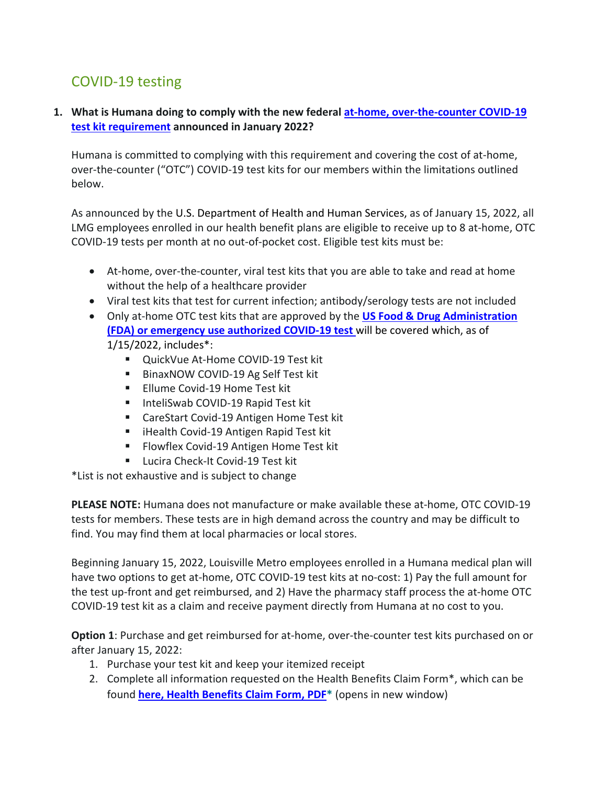## COVID-19 testing

## **1. What is Humana doing to comply with the new federal at-home, over-the-counter COVID-19 test kit requirement announced in January 2022?**

Humana is committed to complying with this requirement and covering the cost of at-home, over-the-counter ("OTC") COVID-19 test kits for our members within the limitations outlined below.

As announced by the U.S. Department of Health and Human Services, as of January 15, 2022, all LMG employees enrolled in our health benefit plans are eligible to receive up to 8 at-home, OTC COVID-19 tests per month at no out-of-pocket cost. Eligible test kits must be:

- At-home, over-the-counter, viral test kits that you are able to take and read at home without the help of a healthcare provider
- Viral test kits that test for current infection; antibody/serology tests are not included
- Only at-home OTC test kits that are approved by the **US Food & Drug Administration (FDA) or emergency use authorized COVID-19 test** will be covered which, as of 1/15/2022, includes\*:
	- QuickVue At-Home COVID-19 Test kit
	- BinaxNOW COVID-19 Ag Self Test kit
	- **Ellume Covid-19 Home Test kit**
	- InteliSwab COVID-19 Rapid Test kit
	- CareStart Covid-19 Antigen Home Test kit
	- **E** iHealth Covid-19 Antigen Rapid Test kit
	- **Flowflex Covid-19 Antigen Home Test kit**
	- **Lucira Check-It Covid-19 Test kit**

\*List is not exhaustive and is subject to change

**PLEASE NOTE:** Humana does not manufacture or make available these at-home, OTC COVID-19 tests for members. These tests are in high demand across the country and may be difficult to find. You may find them at local pharmacies or local stores.

Beginning January 15, 2022, Louisville Metro employees enrolled in a Humana medical plan will have two options to get at-home, OTC COVID-19 test kits at no-cost: 1) Pay the full amount for the test up-front and get reimbursed, and 2) Have the pharmacy staff process the at-home OTC COVID-19 test kit as a claim and receive payment directly from Humana at no cost to you.

**Option 1**: Purchase and get reimbursed for at-home, over-the-counter test kits purchased on or after January 15, 2022:

- 1. Purchase your test kit and keep your itemized receipt
- 2. Complete all information requested on the Health Benefits Claim Form\*, which can be found **here, Health Benefits Claim Form, PDF\*** (opens in new window)